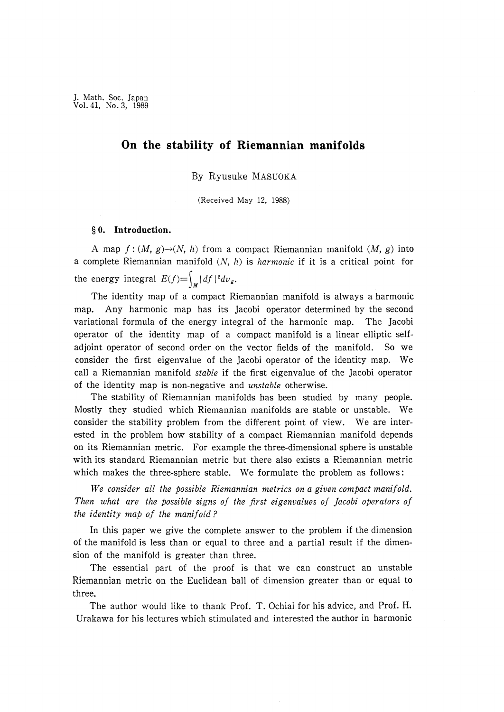# On the stability of Riemannian manifolds

By Ryusuke MASUOKA

(Received May 12, 1988)

## § 0. Introduction.

A map  $f:(M, g) \rightarrow (N, h)$  from a compact Riemannian manifold  $(M, g)$  into a complete Riemannian manifold  $(N, h)$  is *harmonic* if it is a critical point for the energy integral  $E(f) = \int_{\mathcal{U}} |df|^{2} dv_{g}$ .

 The identity map of a compact Riemannian manifold is always a harmonic map. Any harmonic map has its Jacobi operator determined by the second variational formula of the energy integral of the harmonic map. The Jacobi operator of the identity map of a compact manifold is a linear elliptic selfadjoint operator of second order on the vector fields of the manifold. So we consider the first eigenvalue of the Jacobi operator of the identity map. We call a Riemannian manifold stable if the first eigenvalue of the Jacobi operator of the identity map is non-negative and *unstable* otherwise.

 The stability of Riemannian manifolds has been studied by many people. Mostly they studied which Riemannian manifolds are stable or unstable. We consider the stability problem from the different point of view. We are interested in the problem how stability of a compact Riemannian manifold depends on its Riemannian metric. For example the three-dimensional sphere is unstable with its standard Riemannian metric but there also exists a Riemannian metric which makes the three-sphere stable. We formulate the problem as follows:

 We consider all the possible Riemannian metrics on a given compact manifold. Then what are the possible signs of the first eigenvalues of Jacobi operators of the identity map of the manifold?

 In this paper we give the complete answer to the problem if the dimension of the manifold is less than or equal to three and a partial result if the dimension of the manifold is greater than three.

 The essential part of the proof is that we can construct an unstable Riemannian metric on the Euclidean ball of dimension greater than or equal to three.

 The author would like to thank Prof. T. Ochiai for his advice, and Prof. H. Urakawa for his lectures which stimulated and interested the author in harmonic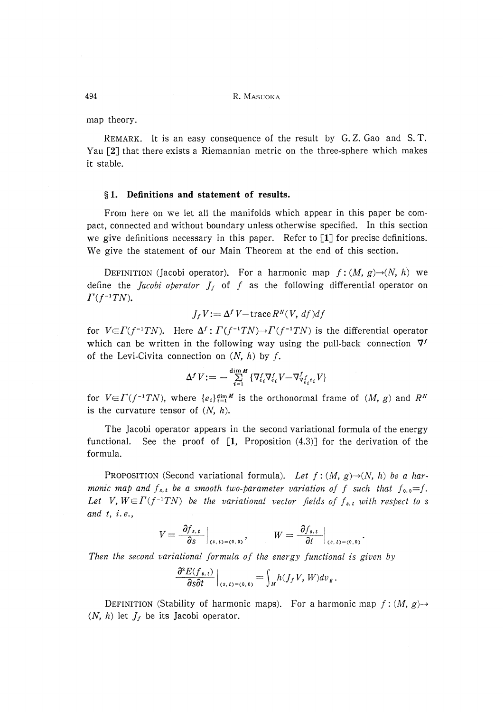494 R. MASUOKA

map theory.

 REMARK. It is an easy consequence of the result by G. Z. Gao and S. T. Yau [2] that there exists a Riemannian metric on the three-sphere which makes it stable.

### § 1. Definitions and statement of results.

 From here on we let all the manifolds which appear in this paper be compact, connected and without boundary unless otherwise specified. In this section we give definitions necessary in this paper. Refer to [1] for precise definitions. We give the statement of our Main Theorem at the end of this section.

DEFINITION (Jacobi operator). For a harmonic map  $f:(M, g) \rightarrow (N, h)$  we define the *Jacobi operator*  $J_f$  of f as the following differential operator on  $\Gamma(f^{-1}TN)$ .

$$
J_f V := \Delta^f V - \text{trace } R^N(V, \, df) df
$$

for  $V \in \Gamma(f^{-1}TN$ ). Here  $\Delta^f: \Gamma(f^{-1}TN) \to \Gamma(f^{-1}TN)$  is the differential operator which can be written in the following way using the pull-back connection  $\nabla^f$ of the Levi-Civita connection on  $(N, h)$  by f.

$$
\Delta^f\,V:=-\sum_{i=1}^{\dim M}\left\{\nabla^f_{e_i}\nabla^f_{e_i}V-\nabla^f_{\nabla^f_{e_i}e_i}V\right\}
$$

for  $V\in\Gamma(f^{-1}TN)$ , where  ${e_i}_{i=1}^{dim M}$  is the orthonormal frame of  $(M, g)$  and  $R^N$ is the curvature tensor of  $(N, h)$ .

 The Jacobi operator appears in the second variational formula of the energy functional. See the proof of  $[1,$  Proposition  $(4.3)$ ] for the derivation of the formula.

PROPOSITION (Second variational formula). Let  $f : (M, g) \rightarrow (N, h)$  be a harmonic map and  $f_{s,t}$  be a smooth two-parameter variation of f such that  $f_{0,0}=f$ . Let V,  $W \in \Gamma(f^{-1}TN)$  be the variational vector fields of  $f_{s,t}$  with respect to s and  $t, i.e.,$ 

$$
V = \frac{\partial f_{s,t}}{\partial s}\Big|_{(s,t)=(0,0)}, \qquad W = \frac{\partial f_{s,t}}{\partial t}\Big|_{(s,t)=(0,0)}
$$

Then the second variational formula of the energy functional is given by

والمستعمل

$$
\left.\frac{\partial^2 E(f_{s,t})}{\partial s \partial t}\right|_{(s,t)=(0,0)} = \int_M h(J_f V, W) dv_g.
$$

DEFINITION (Stability of harmonic maps). For a harmonic map  $f : (M, g) \rightarrow$  $(N, h)$  let  $J_f$  be its Jacobi operator.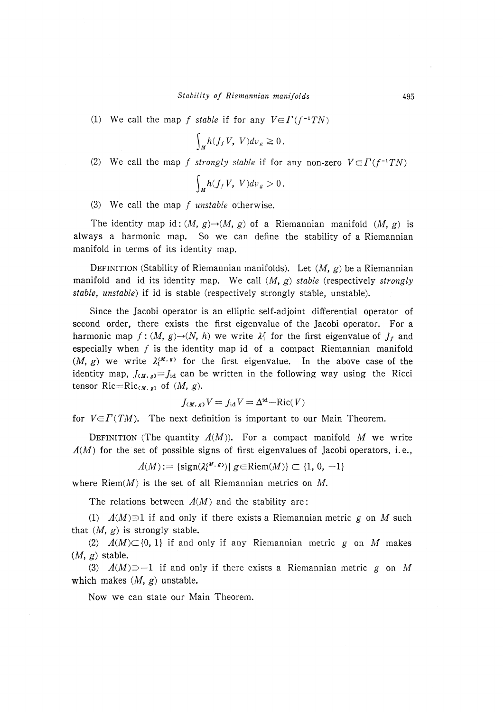(1) We call the map f stable if for any  $V \in \Gamma(f^{-1}TN)$ 

$$
\int_M h(J_f V, V) dv_g \geq 0.
$$

(2) We call the map f strongly stable if for any non-zero  $V \in \Gamma(f^{-1}TN)$ 

$$
\int_M h(J_f V, V) dv_g > 0.
$$

(3) We call the map  $f$  unstable otherwise.

The identity map id:  $(M, g) \rightarrow (M, g)$  of a Riemannian manifold  $(M, g)$  is always a harmonic map. So we can define the stability of a Riemannian manifold in terms of its identity map.

DEFINITION (Stability of Riemannian manifolds). Let  $(M, g)$  be a Riemannian manifold and id its identity map. We call  $(M, g)$  stable (respectively strongly stable, unstable) if id is stable (respectively strongly stable, unstable).

 Since the Jacobi operator is an elliptic self-adjoint differential operator of second order, there exists the first eigenvalue of the Jacobi operator. For a harmonic map  $f : (M, g) \rightarrow (N, h)$  we write  $\lambda_1^f$  for the first eigenvalue of  $J_f$  and especially when  $f$  is the identity map id of a compact Riemannian manifold  $(M, g)$  we write  $\lambda_1^{(M, g)}$  for the first eigenvalue. In the above case of the identity map,  $J(x, g) = J_{id}$  can be written in the following way using the Ricci tensor Ric=Ric<sub>(M, g)</sub> of  $(M, g)$ .

$$
J_{(M, g)}V = J_{\text{id}}V = \Delta^{\text{id}} - \text{Ric}(V)
$$

for  $V \in \Gamma(TM)$ . The next definition is important to our Main Theorem.

DEFINITION (The quantity  $\Lambda(M)$ ). For a compact manifold M we write  $A(M)$  for the set of possible signs of first eigenvalues of Jacobi operators, i.e.,

$$
\Lambda(M):=\{\mathrm{sign}(\lambda_1^{(M,\,s)})|\,\,g\!\in\!\mathrm{Riem}(M)\}\subset\{1,\,0,\,-1\}
$$

where  $Riem(M)$  is the set of all Riemannian metrics on M.

The relations between  $A(M)$  and the stability are:

(1)  $\Lambda(M) \ni 1$  if and only if there exists a Riemannian metric g on M such that  $(M, g)$  is strongly stable.

(2)  $A(M) \subset \{0, 1\}$  if and only if any Riemannian metric g on M makes  $(M, g)$  stable.

(3)  $A(M) \equiv -1$  if and only if there exists a Riemannian metric g on M which makes  $(M, g)$  unstable.

Now we can state our Main Theorem.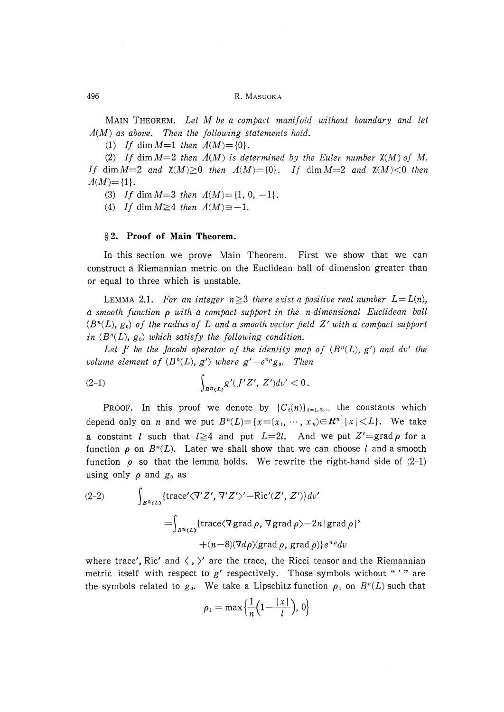MAIN THEOREM. Let M be a compact manifold without boundary and let  $A(M)$  as above. Then the following statements hold.

(1) If dim  $M=1$  then  $\Lambda(M) = \{0\}$ .

(2) If dim  $M=2$  then  $\Lambda(M)$  is determined by the Euler number  $\chi(M)$  of M. If dim  $M=2$  and  $\mathfrak{X}(M)\geq 0$  then  $A(M)=\{0\}$ . If dim  $M=2$  and  $\mathfrak{X}(M)<0$  then  $\Lambda(M)=\{1\}.$ 

(3) If dim  $M=3$  then  $\Lambda(M) = \{1, 0, -1\}.$ 

(4) If dim  $M \geq 4$  then  $\Lambda(M) \Rightarrow -1$ .

## § 2. Proof of Main Theorem.

 In this section we prove Main Theorem. First we show that we can construct a Riemannian metric on the Euclidean ball of dimension greater than or equal to three which is unstable.

LEMMA 2.1. For an integer  $n\geq 3$  there exist a positive real number  $L=L(n)$ , a smooth function p with a compact support in the n-dimensional Euclidean ball  $(B<sup>n</sup>(L), g<sub>0</sub>)$  of the radius of L and a smooth vector field Z' with a compact support in  $(B<sup>n</sup>(L), g<sub>0</sub>)$  which satisfy the following condition.

Let J' be the Jacobi operator of the identity map of  $(B<sup>n</sup>(L), g')$  and dv' the volume element of  $(B<sup>n</sup>(L), g')$  where  $g' = e<sup>2\rho</sup>g<sub>0</sub>$ . Then

(2-1) 
$$
\int_{B^n(L)} g'(J'Z', Z')dv' < 0.
$$

**PROOF.** In this proof we denote by  ${C_i(n)}_{i=1,2,...}$  the constants which depend only on *n* and we put  $B^n(L) = \{x = (x_1, \dots, x_n) \in \mathbb{R}^n \mid |x| < L\}$ . We take a constant *l* such that  $l \ge 4$  and put  $L=2l$ . And we put  $Z'=\text{grad }\rho$  for a function  $\rho$  on  $B<sup>n</sup>(L)$ . Later we shall show that we can choose l and a smooth function  $\rho$  so that the lemma holds. We rewrite the right-hand side of  $(2-1)$ using only  $\rho$  and  $g_0$  as

(2-2) 
$$
\int_{B^n(L)} \{ \text{trace}' \langle \nabla' Z', \nabla' Z' \rangle' - \text{Ric}'(Z', Z') \} dv' = \int_{B^n(L)} \{ \text{trace} \langle \nabla \text{grad } \rho, \nabla \text{grad } \rho \rangle - 2n | \text{grad } \rho |^2 + (n-8) (\nabla d \rho)(\text{grad } \rho, \text{grad } \rho) \} e^{n \rho} dv
$$

where trace', Ric' and  $\langle$ ,  $\rangle'$  are the trace, the Ricci tensor and the Riemannian metric itself with respect to  $g'$  respectively. Those symbols without "'" are the symbols related to  $g_0$ . We take a Lipschitz function  $\rho_1$  on  $B^n(L)$  such that

$$
\rho_1=\max\Bigl\{\frac{1}{n}\Bigl(1-\frac{\mid x\mid}{l}\Bigr),\ 0\Bigr\}
$$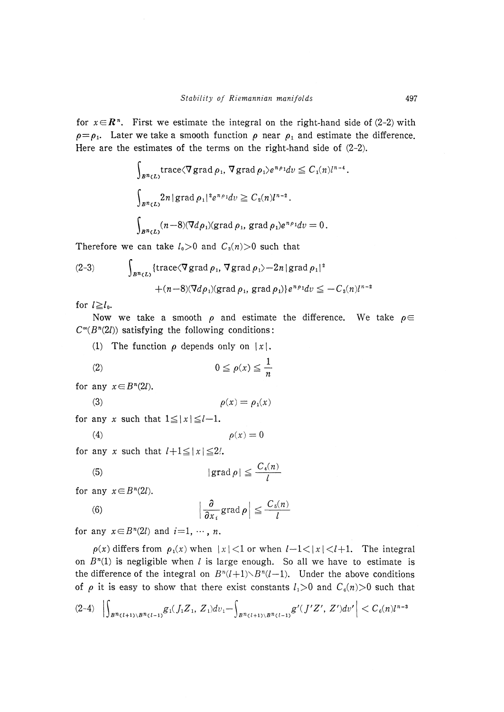for  $x \in \mathbb{R}^n$ . First we estimate the integral on the right-hand side of (2-2) with  $\rho = \rho_1$ . Later we take a smooth function  $\rho$  near  $\rho_1$  and estimate the difference. Here are the estimates of the terms on the right-hand side of  $(2-2)$ .

$$
\int_{B^n(L)} \operatorname{trace} \langle \nabla \operatorname{grad} \rho_1, \nabla \operatorname{grad} \rho_1 \rangle e^{n \rho_1} dv \leq C_1(n) l^{n-4}
$$
\n
$$
\int_{B^n(L)} 2n |\operatorname{grad} \rho_1|^2 e^{n \rho_1} dv \geq C_2(n) l^{n-2}.
$$
\n
$$
\int_{B^n(L)} (n-8) (\nabla d \rho_1) (\operatorname{grad} \rho_1, \operatorname{grad} \rho_1) e^{n \rho_1} dv = 0.
$$

Therefore we can take  $l_0>0$  and  $C_3(n)>0$  such that

(2-3) 
$$
\int_{B^n(L)} \{ \text{trace} \langle \nabla \text{grad } \rho_1, \nabla \text{grad } \rho_1 \rangle - 2n | \text{grad } \rho_1 \|^2 + (n-8) (\nabla d \rho_1) (\text{grad } \rho_1, \text{grad } \rho_1) \} e^{n \rho_1} dv \leq - C_3(n) l^{n-2}
$$

for  $l \ge l_0$ .

Now we take a smooth  $\rho$  and estimate the difference. We take  $\rho \in$  $C^{\infty}(B^n(2l))$  satisfying the following conditions:

(1) The function  $\rho$  depends only on |x|.

$$
(2) \t\t\t 0 \le \rho(x) \le \frac{1}{n}
$$

for any  $x \in B<sup>n</sup>(2l)$ .

$$
(3) \qquad \qquad \rho(x) = \rho_1(x)
$$

for any x such that  $1 \le |x| \le l-1$ .

$$
(4) \qquad \qquad \rho(x) = 0
$$

for any x such that  $l+1 \leq |x| \leq 2l$ .

(5) 
$$
|\operatorname{grad} \rho| \leq \frac{C_4(n)}{l}
$$

for any  $x \in B<sup>n</sup>(2l)$ .

(6) 
$$
\left|\frac{\partial}{\partial x_i}\mathrm{grad}\,\rho\right| \leq \frac{C_s(n)}{l}
$$

for any  $x \in B<sup>n</sup>(2l)$  and  $i=1, \cdots, n$ .

 $\rho(x)$  differs from  $\rho_1(x)$  when  $|x| < 1$  or when  $l-1 < |x| < l+1$ . The integral on  $B<sup>n</sup>(1)$  is negligible when l is large enough. So all we have to estimate is the difference of the integral on  $B<sup>n</sup>(l+1) \setminus B<sup>n</sup>(l-1)$ . Under the above conditions of  $\rho$  it is easy to show that there exist constants  $l_1>0$  and  $C_6(n)>0$  such that

$$
(2-4)\left|\int_{B^{n}(l+1)\setminus B^{n}(l-1)}g_1(J_1Z_1,Z_1)dv_1-\int_{B^{n}(l+1)\setminus B^{n}(l-1)}g'(J'Z',Z')dv'\right|
$$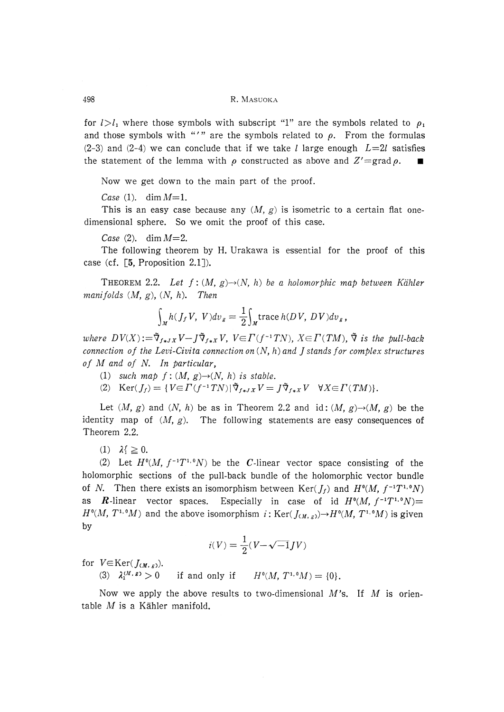### 498 R. MASUOKA

for  $l>l_1$  where those symbols with subscript "1" are the symbols related to  $\rho_1$ and those symbols with "'" are the symbols related to  $\rho$ . From the formulas  $(2-3)$  and  $(2-4)$  we can conclude that if we take *l* large enough  $L=2l$  satisfies the statement of the lemma with  $\rho$  constructed as above and  $Z' = \text{grad } \rho$ .

Now we get down to the main part of the proof.

Case (1). dim  $M=1$ .

This is an easy case because any  $(M, g)$  is isometric to a certain flat onedimensional sphere. So we omit the proof of this case.

Case  $(2)$ , dim  $M=2$ .

 The following theorem by H. Urakawa is essential for the proof of this case (cf. [5, Proposition 2.1]).

THEOREM 2.2. Let  $f:(M, g) \rightarrow (N, h)$  be a holomorphic map between Kähler manifolds  $(M, g)$ ,  $(N, h)$ . Then

$$
\int_M h(J_f V, V) dv_g = \frac{1}{2} \int_M \text{trace } h(DV, DV) dv_g,
$$

where  $DV(X) := \tilde{\nabla}_{f \cdot \mathbf{x}} V - J \tilde{\nabla}_{f \cdot \mathbf{x}} V$ ,  $V \in \Gamma(f^{-1}TN)$ ,  $X \in \Gamma(TM)$ ,  $\tilde{\nabla}$  is the pull-back connection of the Levi-Civita connection on  $(N, h)$  and J stands for complex structures of  $M$  and of  $N$ . In particular,

- (1) such map  $f : (M, g) \rightarrow (N, h)$  is stable.
- (2)  $\text{Ker}(J_f) = \{ V \in \Gamma(f^{-1}TN) | \tilde{\nabla}_{f \ast JX} V = J \tilde{\nabla}_{f \ast X} V \quad \forall X \in \Gamma(TM) \}.$

Let  $(M, g)$  and  $(N, h)$  be as in Theorem 2.2 and id:  $(M, g) \rightarrow (M, g)$  be the identity map of  $(M, g)$ . The following statements are easy consequences of Theorem 2.2.

(1)  $\lambda^f \geq 0$ .

(2) Let  $H^0(M, f^{-1}T^{1,0}N)$  be the *C*-linear vector space consisting of the holomorphic sections of the pull-back bundle of the holomorphic vector bundle of N. Then there exists an isomorphism between  $\text{Ker}(f_t)$  and  $H^0(M, f^{-1}T^{1,0}N)$ **R**-linear vector spaces. Especially in case of id  $H^0(M, f^{-1}T^{1,0}N)$ =  $H^0(M, T^{1,0}M)$  and the above isomorphism  $i : \text{Ker}(J_{(M, s)}) \to H^0(M, T^{1,0}M)$  is given by

$$
i(V) = \frac{1}{2}(V - \sqrt{-1}JV)
$$

for  $V \in \text{Ker}(J_{(M, g)})$ .

(3)  $\lambda_1^{(M,\,g)} > 0$  if and only if  $H^0(M,\,T^{1,\,0}M) = \{0\}.$ 

Now we apply the above results to two-dimensional  $M$ 's. If M is orientable  $M$  is a Kähler manifold.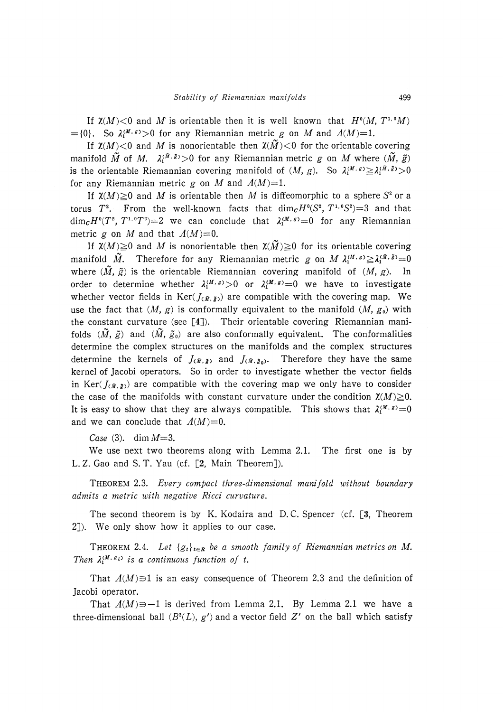If  $\mathfrak{X}(M)$  < 0 and M is orientable then it is well known that  $H^0(M, T^{1,0}M)$  $=$ {0}. So  $\lambda_1^{(M,\,g)}$ >0 for any Riemannian metric g on M and  $\Lambda(M)=1$ .

If  $\mathfrak{X}(M)$  < 0 and M is nonorientable then  $\mathfrak{X}(\widetilde{M})$  < 0 for the orientable covering manifold  $\tilde{M}$  of M.  $\lambda_1^{(\tilde{M}, \tilde{g})} > 0$  for any Riemannian metric g on M where  $(\tilde{M}, \tilde{g})$ is the orientable Riemannian covering manifold of  $(M, g)$ . So  $\lambda_1^{(M, g)} \geq \lambda_1^{(\tilde{M}, \tilde{g})} > 0$ for any Riemannian metric g on M and  $\Lambda(M)=1$ .

If  $\chi(M)\geq 0$  and M is orientable then M is diffeomorphic to a sphere S<sup>2</sup> or a torus  $T^2$ . From the well-known facts that  $\dim_{\mathcal{C}} H^0(S^2, T^{1,0}S^2) = 3$  and that  $\dim_{\mathbf{C}} H^0(T^2, T^{1,0}T^2)=2$  we can conclude that  $\lambda_1^{(M,\,s)}=0$  for any Riemannian metric g on M and that  $\Lambda(M)=0$ .

If  $\mathfrak{X}(M) \geq 0$  and M is nonorientable then  $\mathfrak{X}(\widetilde{M}) \geq 0$  for its orientable covering  $N(M) \leq 0$  and M is nonorientable then  $\lambda(M) \leq 0$  for its orientable covering<br>fold  $\widetilde{M}$ . Therefore for any Riemannian metric g on  $M \lambda_1^{(M,\,g)} \geq \lambda_1^{(\tilde{M},\,\tilde{g})}=0$ where  $(\tilde{M}, \tilde{g})$  is the orientable Riemannian covering manifold of  $(M, g)$ . In order to determine whether  $\lambda_1^{(M,\,g)} > 0$  or  $\lambda_1^{(M,\,g)} = 0$  we have to investigate whether vector fields in Ker( $J_{(\tilde{M}, \tilde{g})}$  are compatible with the covering map. We use the fact that  $(M, g)$  is conformally equivalent to the manifold  $(M, g_0)$  with the constant curvature (see  $[4]$ ). Their orientable covering Riemannian manifolds  $(\tilde{M}, \tilde{g})$  and  $(\tilde{M}, \tilde{g}_0)$  are also conformally equivalent. The conformalities determine the complex structures on the manifolds and the complex structures determine the kernels of  $J_{(\tilde{M}, \tilde{g})}$  and  $J_{(\tilde{M}, \tilde{g})}$ . Therefore they have the same kernel of Jacobi operators. So in order to investigate whether the vector fields in Ker( $J_{(\bar{M},\bar{g})}$ ) are compatible with the covering map we only have to consider the case of the manifolds with constant curvature under the condition  $\chi(M) \geq 0$ . It is easy to show that they are always compatible. This shows that  $\lambda_1^{(M,\,g)}=0$ and we can conclude that  $A(M)=0$ .

Case (3). dim  $M=3$ .

 We use next two theorems along with Lemma 2.1. The first one is by L. Z. Gao and S. T. Yau (cf. [2, Main Theorem]).

 THEOREM 2.3. Every compact three-dimensional manifold without boundary admits a metric with negative Ricci curvature.

The second theorem is by K. Kodaira and D.C. Spencer (cf. [3, Theorem 2]). We only show how it applies to our case.

THEOREM 2.4. Let  $\{g_t\}_{t\in\mathbb{R}}$  be a smooth family of Riemannian metrics on M. Then  $\lambda_1^{(M, g_t)}$  is a continuous function of t.

That  $\Lambda(M) \ni 1$  is an easy consequence of Theorem 2.3 and the definition of Jacobi operator.

That  $A(M) \ni -1$  is derived from Lemma 2.1. By Lemma 2.1 we have a three-dimensional ball  $(B^3(L), g')$  and a vector field Z' on the ball which satisfy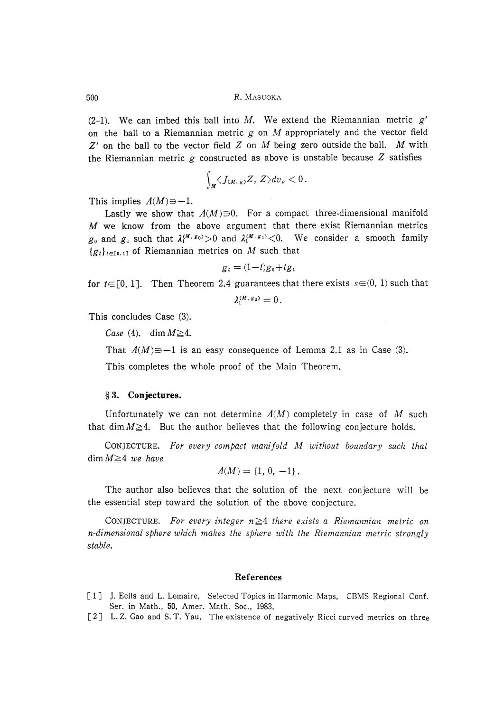500 R. MASUOKA

(2-1). We can imbed this ball into M. We extend the Riemannian metric  $g'$ on the ball to a Riemannian metric  $g$  on  $M$  appropriately and the vector field  $Z'$  on the ball to the vector field  $Z$  on  $M$  being zero outside the ball.  $M$  with the Riemannian metric  $g$  constructed as above is unstable because  $Z$  satisfies

$$
\int_M \langle J_{(M,\,g)}Z,\,Z\rangle dv_g < 0\,.
$$

This implies  $\Lambda(M) \Rightarrow -1$ .

Lastly we show that  $A(M)=0$ . For a compact three-dimensional manifold  $M$  we know from the above argument that there exist Riemannian metrics  $g_0$  and  $g_1$  such that  $\lambda_1^{(M, g_0)} > 0$  and  $\lambda_1^{(M, g_1)} < 0$ . We consider a smooth family  ${g_t}_{t\in[0,1]}$  of Riemannian metrics on M such that

$$
g_t = (1-t)g_0 + tg_1
$$

for  $t \in [0, 1]$ . Then Theorem 2.4 guarantees that there exists  $s \in (0, 1)$  such that

$$
\lambda_1^{(M,\,g_s)}=0\,.
$$

This concludes Case (3).

Case (4). dim  $M \geq 4$ .

That  $\Lambda(M) \ni -1$  is an easy consequence of Lemma 2.1 as in Case (3).

This completes the whole proof of the Main Theorem.

## § 3. Conjectures.

Unfortunately we can not determine  $\Lambda(M)$  completely in case of M such that dim  $M \geq 4$ . But the author believes that the following conjecture holds.

 CONJECTURE. For every compact manifold M without boundary such that  $\dim M \geq 4$  we have

$$
\Lambda(M) = \{1, 0, -1\}.
$$

 The author also believes that the solution of the next conjecture will be the essential step toward the solution of the above conjecture.

CONJECTURE. For every integer  $n \geq 4$  there exists a Riemannian metric on n-dimensional sphere which makes the sphere with the Riemannian metric strongly stable.

#### References

- [1] J. Eells and L. Lemaire, Selected Topics in Harmonic Maps, CBMS Regional Conf Ser, in Math., 50, Amer. Math. Soc., 1983.
- [2] L.Z. Gao and S.T. Yau, The existence of negatively Ricci curved metrics on thre